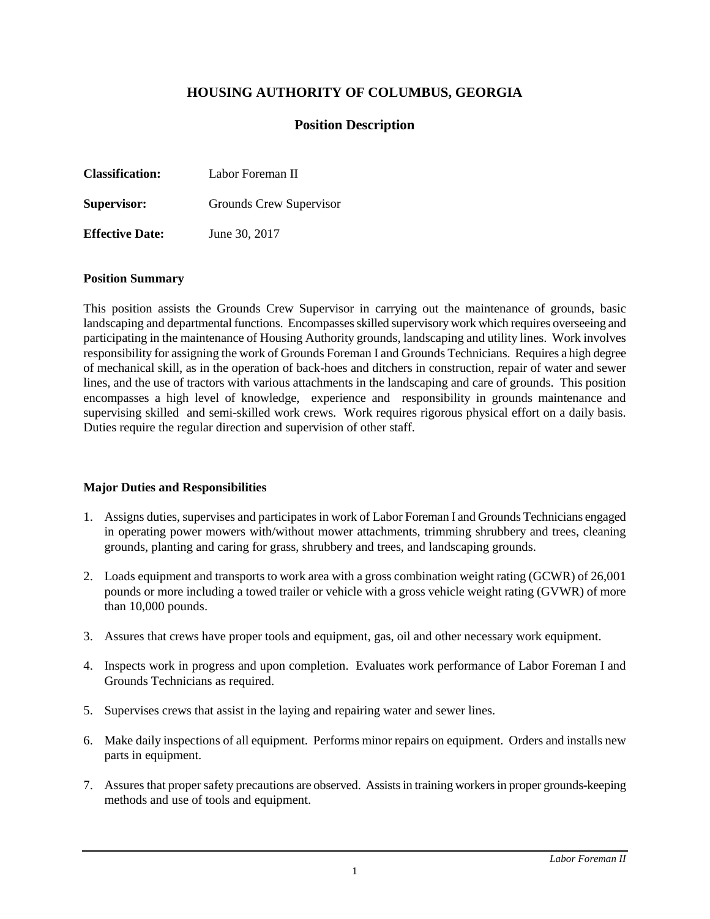# **HOUSING AUTHORITY OF COLUMBUS, GEORGIA**

# **Position Description**

| <b>Classification:</b> | Labor Foreman II |
|------------------------|------------------|
|                        |                  |

**Supervisor:** Grounds Crew Supervisor

**Effective Date:** June 30, 2017

#### **Position Summary**

This position assists the Grounds Crew Supervisor in carrying out the maintenance of grounds, basic landscaping and departmental functions. Encompasses skilled supervisory work which requires overseeing and participating in the maintenance of Housing Authority grounds, landscaping and utility lines. Work involves responsibility for assigning the work of Grounds Foreman I and Grounds Technicians. Requires a high degree of mechanical skill, as in the operation of back-hoes and ditchers in construction, repair of water and sewer lines, and the use of tractors with various attachments in the landscaping and care of grounds. This position encompasses a high level of knowledge, experience and responsibility in grounds maintenance and supervising skilled and semi-skilled work crews. Work requires rigorous physical effort on a daily basis. Duties require the regular direction and supervision of other staff.

#### **Major Duties and Responsibilities**

- 1. Assigns duties, supervises and participates in work of Labor Foreman I and Grounds Technicians engaged in operating power mowers with/without mower attachments, trimming shrubbery and trees, cleaning grounds, planting and caring for grass, shrubbery and trees, and landscaping grounds.
- 2. Loads equipment and transports to work area with a gross combination weight rating (GCWR) of 26,001 pounds or more including a towed trailer or vehicle with a gross vehicle weight rating (GVWR) of more than 10,000 pounds.
- 3. Assures that crews have proper tools and equipment, gas, oil and other necessary work equipment.
- 4. Inspects work in progress and upon completion. Evaluates work performance of Labor Foreman I and Grounds Technicians as required.
- 5. Supervises crews that assist in the laying and repairing water and sewer lines.
- 6. Make daily inspections of all equipment. Performs minor repairs on equipment. Orders and installs new parts in equipment.
- 7. Assures that proper safety precautions are observed. Assists in training workers in proper grounds-keeping methods and use of tools and equipment.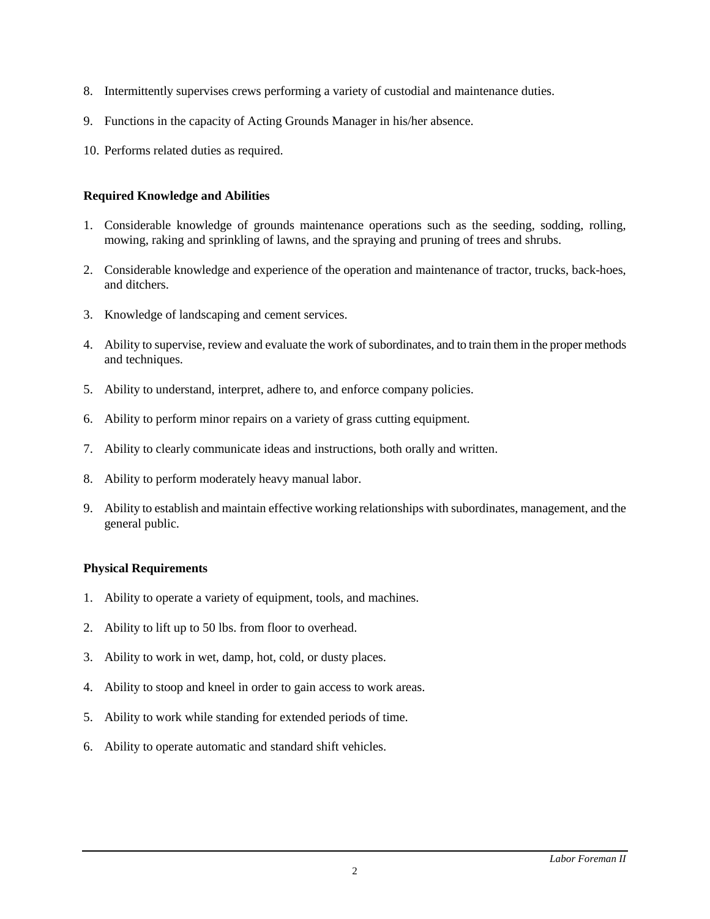- 8. Intermittently supervises crews performing a variety of custodial and maintenance duties.
- 9. Functions in the capacity of Acting Grounds Manager in his/her absence.
- 10. Performs related duties as required.

#### **Required Knowledge and Abilities**

- 1. Considerable knowledge of grounds maintenance operations such as the seeding, sodding, rolling, mowing, raking and sprinkling of lawns, and the spraying and pruning of trees and shrubs.
- 2. Considerable knowledge and experience of the operation and maintenance of tractor, trucks, back-hoes, and ditchers.
- 3. Knowledge of landscaping and cement services.
- 4. Ability to supervise, review and evaluate the work of subordinates, and to train them in the proper methods and techniques.
- 5. Ability to understand, interpret, adhere to, and enforce company policies.
- 6. Ability to perform minor repairs on a variety of grass cutting equipment.
- 7. Ability to clearly communicate ideas and instructions, both orally and written.
- 8. Ability to perform moderately heavy manual labor.
- 9. Ability to establish and maintain effective working relationships with subordinates, management, and the general public.

#### **Physical Requirements**

- 1. Ability to operate a variety of equipment, tools, and machines.
- 2. Ability to lift up to 50 lbs. from floor to overhead.
- 3. Ability to work in wet, damp, hot, cold, or dusty places.
- 4. Ability to stoop and kneel in order to gain access to work areas.
- 5. Ability to work while standing for extended periods of time.
- 6. Ability to operate automatic and standard shift vehicles.